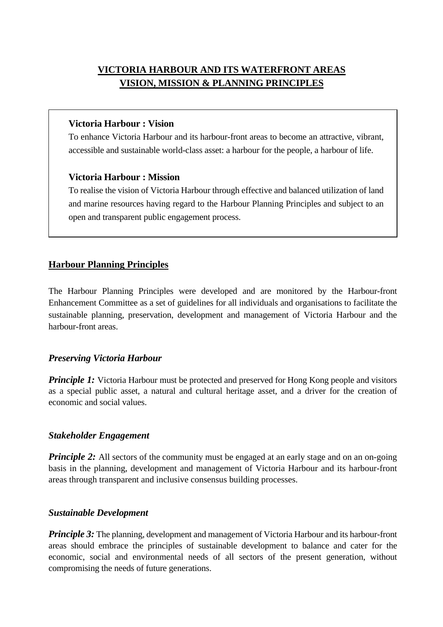# **VICTORIA HARBOUR AND ITS WATERFRONT AREAS VISION, MISSION & PLANNING PRINCIPLES**

### **Victoria Harbour : Vision**

To enhance Victoria Harbour and its harbour-front areas to become an attractive, vibrant, accessible and sustainable world-class asset: a harbour for the people, a harbour of life.

### **Victoria Harbour : Mission**

To realise the vision of Victoria Harbour through effective and balanced utilization of land and marine resources having regard to the Harbour Planning Principles and subject to an open and transparent public engagement process.

# **Harbour Planning Principles**

The Harbour Planning Principles were developed and are monitored by the Harbour-front Enhancement Committee as a set of guidelines for all individuals and organisations to facilitate the sustainable planning, preservation, development and management of Victoria Harbour and the harbour-front areas.

## *Preserving Victoria Harbour*

*Principle 1:* Victoria Harbour must be protected and preserved for Hong Kong people and visitors as a special public asset, a natural and cultural heritage asset, and a driver for the creation of economic and social values.

## *Stakeholder Engagement*

*Principle 2:* All sectors of the community must be engaged at an early stage and on an on-going basis in the planning, development and management of Victoria Harbour and its harbour-front areas through transparent and inclusive consensus building processes.

## *Sustainable Development*

*Principle 3:* The planning, development and management of Victoria Harbour and its harbour-front areas should embrace the principles of sustainable development to balance and cater for the economic, social and environmental needs of all sectors of the present generation, without compromising the needs of future generations.